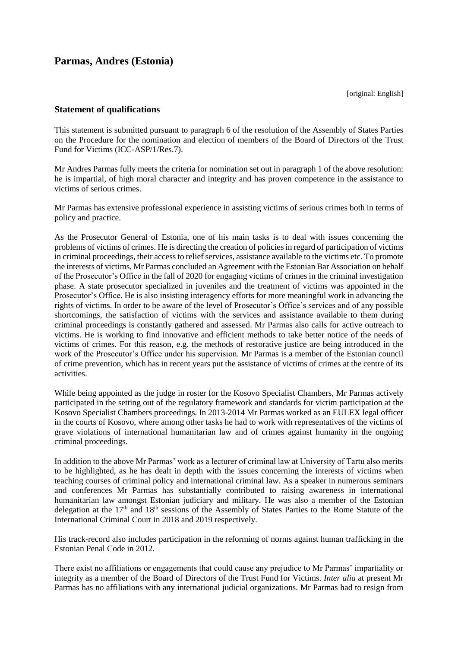## **Parmas, Andres (Estonia)**

[original: English]

## **Statement of qualifications**

This statement is submitted pursuant to paragraph 6 of the resolution of the Assembly of States Parties on the Procedure for the nomination and election of members of the Board of Directors of the Trust Fund for Victims (ICC-ASP/1/Res.7).

Mr Andres Parmas fully meets the criteria for nomination set out in paragraph 1 of the above resolution: he is impartial, of high moral character and integrity and has proven competence in the assistance to victims of serious crimes.

Mr Parmas has extensive professional experience in assisting victims of serious crimes both in terms of policy and practice.

As the Prosecutor General of Estonia, one of his main tasks is to deal with issues concerning the problems of victims of crimes. He is directing the creation of policies in regard of participation of victims in criminal proceedings, their access to relief services, assistance available to the victims etc. To promote the interests of victims, Mr Parmas concluded an Agreement with the Estonian Bar Association on behalf of the Prosecutor's Office in the fall of 2020 for engaging victims of crimes in the criminal investigation phase. A state prosecutor specialized in juveniles and the treatment of victims was appointed in the Prosecutor's Office. He is also insisting interagency efforts for more meaningful work in advancing the rights of victims. In order to be aware of the level of Prosecutor's Office's services and of any possible shortcomings, the satisfaction of victims with the services and assistance available to them during criminal proceedings is constantly gathered and assessed. Mr Parmas also calls for active outreach to victims. He is working to find innovative and efficient methods to take better notice of the needs of victims of crimes. For this reason, e.g*.* the methods of restorative justice are being introduced in the work of the Prosecutor's Office under his supervision. Mr Parmas is a member of the Estonian council of crime prevention, which has in recent years put the assistance of victims of crimes at the centre of its activities.

While being appointed as the judge in roster for the Kosovo Specialist Chambers, Mr Parmas actively participated in the setting out of the regulatory framework and standards for victim participation at the Kosovo Specialist Chambers proceedings. In 2013-2014 Mr Parmas worked as an EULEX legal officer in the courts of Kosovo, where among other tasks he had to work with representatives of the victims of grave violations of international humanitarian law and of crimes against humanity in the ongoing criminal proceedings.

In addition to the above Mr Parmas' work as a lecturer of criminal law at University of Tartu also merits to be highlighted, as he has dealt in depth with the issues concerning the interests of victims when teaching courses of criminal policy and international criminal law. As a speaker in numerous seminars and conferences Mr Parmas has substantially contributed to raising awareness in international humanitarian law amongst Estonian judiciary and military. He was also a member of the Estonian delegation at the 17<sup>th</sup> and 18<sup>th</sup> sessions of the Assembly of States Parties to the Rome Statute of the International Criminal Court in 2018 and 2019 respectively.

His track-record also includes participation in the reforming of norms against human trafficking in the Estonian Penal Code in 2012.

There exist no affiliations or engagements that could cause any prejudice to Mr Parmas' impartiality or integrity as a member of the Board of Directors of the Trust Fund for Victims. *Inter alia* at present Mr Parmas has no affiliations with any international judicial organizations. Mr Parmas had to resign from